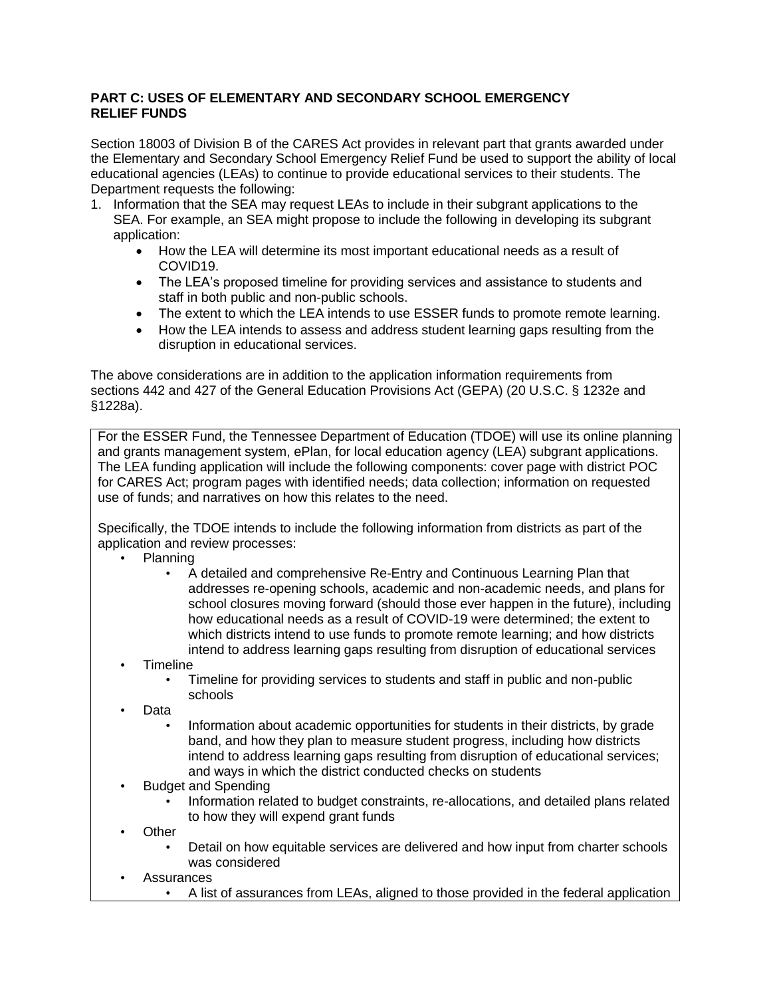## **PART C: USES OF ELEMENTARY AND SECONDARY SCHOOL EMERGENCY RELIEF FUNDS**

Section 18003 of Division B of the CARES Act provides in relevant part that grants awarded under the Elementary and Secondary School Emergency Relief Fund be used to support the ability of local educational agencies (LEAs) to continue to provide educational services to their students. The Department requests the following:

- 1. Information that the SEA may request LEAs to include in their subgrant applications to the SEA. For example, an SEA might propose to include the following in developing its subgrant application:
	- How the LEA will determine its most important educational needs as a result of COVID19.
	- The LEA's proposed timeline for providing services and assistance to students and staff in both public and non-public schools.
	- The extent to which the LEA intends to use ESSER funds to promote remote learning.
	- How the LEA intends to assess and address student learning gaps resulting from the disruption in educational services.

The above considerations are in addition to the application information requirements from sections 442 and 427 of the General Education Provisions Act (GEPA) (20 U.S.C. § 1232e and §1228a).

For the ESSER Fund, the Tennessee Department of Education (TDOE) will use its online planning and grants management system, ePlan, for local education agency (LEA) subgrant applications. The LEA funding application will include the following components: cover page with district POC for CARES Act; program pages with identified needs; data collection; information on requested use of funds; and narratives on how this relates to the need.

Specifically, the TDOE intends to include the following information from districts as part of the application and review processes:

- Planning
	- A detailed and comprehensive Re-Entry and Continuous Learning Plan that addresses re-opening schools, academic and non-academic needs, and plans for school closures moving forward (should those ever happen in the future), including how educational needs as a result of COVID-19 were determined; the extent to which districts intend to use funds to promote remote learning; and how districts intend to address learning gaps resulting from disruption of educational services
	- **Timeline** 
		- Timeline for providing services to students and staff in public and non-public schools
	- Data
		- Information about academic opportunities for students in their districts, by grade band, and how they plan to measure student progress, including how districts intend to address learning gaps resulting from disruption of educational services; and ways in which the district conducted checks on students
	- Budget and Spending
		- Information related to budget constraints, re-allocations, and detailed plans related to how they will expend grant funds
	- **Other** 
		- Detail on how equitable services are delivered and how input from charter schools was considered
	- **Assurances** 
		- A list of assurances from LEAs, aligned to those provided in the federal application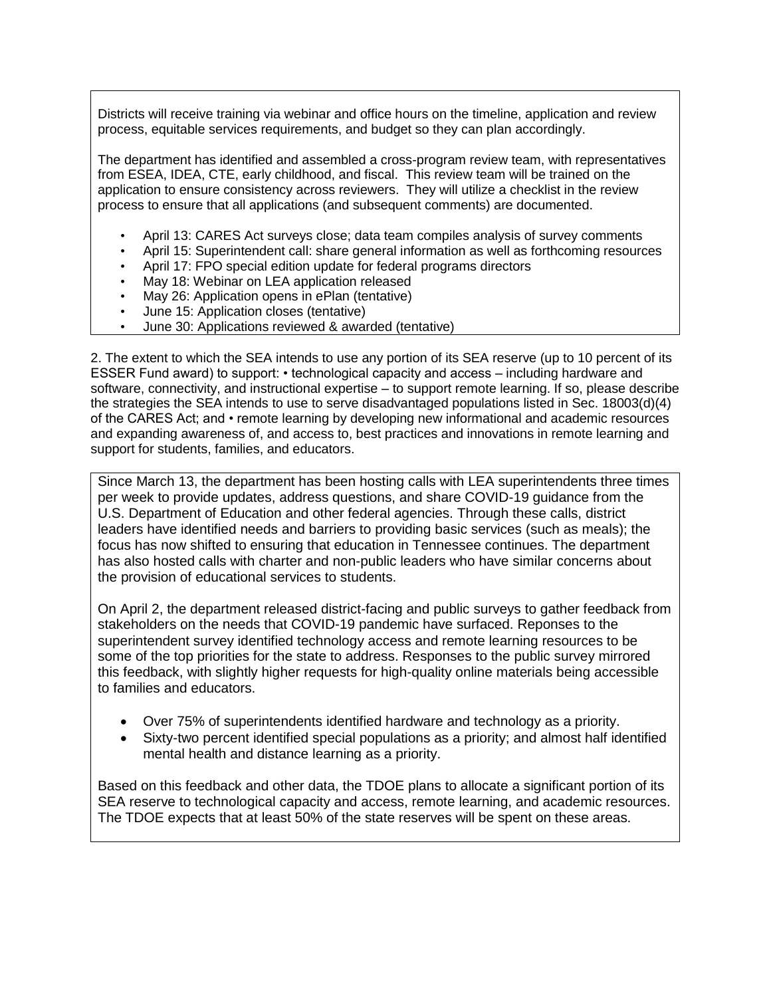Districts will receive training via webinar and office hours on the timeline, application and review process, equitable services requirements, and budget so they can plan accordingly.

The department has identified and assembled a cross-program review team, with representatives from ESEA, IDEA, CTE, early childhood, and fiscal. This review team will be trained on the application to ensure consistency across reviewers. They will utilize a checklist in the review process to ensure that all applications (and subsequent comments) are documented.

- April 13: CARES Act surveys close; data team compiles analysis of survey comments
- April 15: Superintendent call: share general information as well as forthcoming resources
- April 17: FPO special edition update for federal programs directors
- May 18: Webinar on LEA application released
- May 26: Application opens in ePlan (tentative)
- June 15: Application closes (tentative)
- June 30: Applications reviewed & awarded (tentative)

2. The extent to which the SEA intends to use any portion of its SEA reserve (up to 10 percent of its ESSER Fund award) to support: • technological capacity and access – including hardware and software, connectivity, and instructional expertise – to support remote learning. If so, please describe the strategies the SEA intends to use to serve disadvantaged populations listed in Sec. 18003(d)(4) of the CARES Act; and • remote learning by developing new informational and academic resources and expanding awareness of, and access to, best practices and innovations in remote learning and support for students, families, and educators.

Since March 13, the department has been hosting calls with LEA superintendents three times per week to provide updates, address questions, and share COVID-19 guidance from the U.S. Department of Education and other federal agencies. Through these calls, district leaders have identified needs and barriers to providing basic services (such as meals); the focus has now shifted to ensuring that education in Tennessee continues. The department has also hosted calls with charter and non-public leaders who have similar concerns about the provision of educational services to students.

On April 2, the department released district-facing and public surveys to gather feedback from stakeholders on the needs that COVID-19 pandemic have surfaced. Reponses to the superintendent survey identified technology access and remote learning resources to be some of the top priorities for the state to address. Responses to the public survey mirrored this feedback, with slightly higher requests for high-quality online materials being accessible to families and educators.

- Over 75% of superintendents identified hardware and technology as a priority.
- Sixty-two percent identified special populations as a priority; and almost half identified mental health and distance learning as a priority.

Based on this feedback and other data, the TDOE plans to allocate a significant portion of its SEA reserve to technological capacity and access, remote learning, and academic resources. The TDOE expects that at least 50% of the state reserves will be spent on these areas.